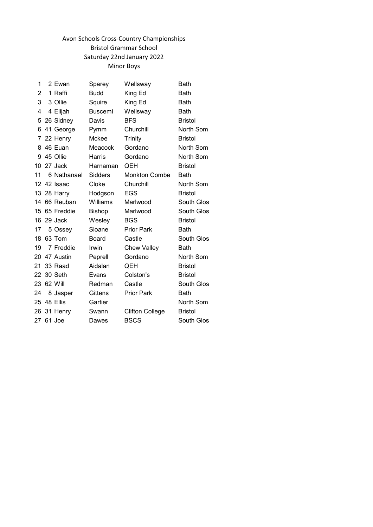# Avon Schools Cross-Country Championships Bristol Grammar School Saturday 22nd January 2022 Minor Boys

| 1  | 2 Ewan      | Sparey         | Wellsway               | <b>Bath</b>    |
|----|-------------|----------------|------------------------|----------------|
| 2  | 1 Raffi     | <b>Budd</b>    | King Ed                | <b>Bath</b>    |
| 3  | 3 Ollie     | Squire         | King Ed                | <b>Bath</b>    |
| 4  | 4 Elijah    | <b>Buscemi</b> | Wellsway               | Bath           |
|    | 5 26 Sidney | Davis          | <b>BFS</b>             | <b>Bristol</b> |
| 6  | 41 George   | Pymm           | Churchill              | North Som      |
|    | 7 22 Henry  | Mckee          | Trinity                | <b>Bristol</b> |
| 8  | 46 Euan     | Meacock        | Gordano                | North Som      |
| 9  | 45 Ollie    | <b>Harris</b>  | Gordano                | North Som      |
| 10 | 27 Jack     | Harnaman       | QEH                    | <b>Bristol</b> |
| 11 | 6 Nathanael | Sidders        | <b>Monkton Combe</b>   | Bath           |
| 12 | 42 Isaac    | Cloke          | Churchill              | North Som      |
| 13 | 28 Harry    | Hodgson        | <b>EGS</b>             | <b>Bristol</b> |
| 14 | 66 Reuban   | Williams       | Marlwood               | South Glos     |
| 15 | 65 Freddie  | <b>Bishop</b>  | Marlwood               | South Glos     |
| 16 | 29 Jack     | Wesley         | <b>BGS</b>             | <b>Bristol</b> |
| 17 | 5 Ossey     | Sioane         | <b>Prior Park</b>      | <b>Bath</b>    |
| 18 | 63 Tom      | <b>Board</b>   | Castle                 | South Glos     |
| 19 | 7 Freddie   | Irwin          | <b>Chew Valley</b>     | <b>Bath</b>    |
| 20 | 47 Austin   | Peprell        | Gordano                | North Som      |
| 21 | 33 Raad     | Aidalan        | QEH                    | <b>Bristol</b> |
| 22 | 30 Seth     | Evans          | Colston's              | <b>Bristol</b> |
| 23 | 62 Will     | Redman         | Castle                 | South Glos     |
| 24 | 8 Jasper    | Gittens        | <b>Prior Park</b>      | Bath           |
| 25 | 48 Ellis    | Gartier        |                        | North Som      |
| 26 | 31 Henry    | Swann          | <b>Clifton College</b> | <b>Bristol</b> |
|    | 27 61 Joe   | Dawes          | <b>BSCS</b>            | South Glos     |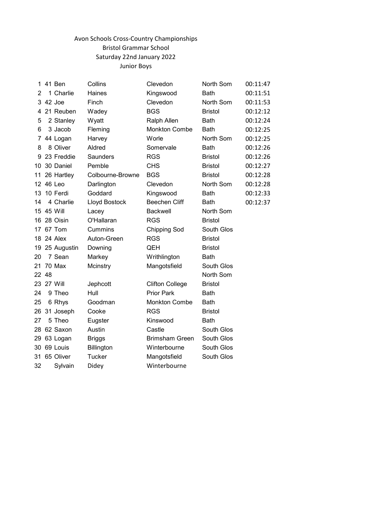# Avon Schools Cross-Country Championships Bristol Grammar School Saturday 22nd January 2022 Junior Boys

| 1  | 41 Ben      | Collins          | Clevedon               | North Som      | 00:11:47 |
|----|-------------|------------------|------------------------|----------------|----------|
| 2  | 1 Charlie   | Haines           | Kingswood              | <b>Bath</b>    | 00:11:51 |
| 3  | 42 Joe      | Finch            | Clevedon               | North Som      | 00:11:53 |
| 4  | 21 Reuben   | Wadey            | <b>BGS</b>             | <b>Bristol</b> | 00:12:12 |
| 5  | 2 Stanley   | Wyatt            | Ralph Allen            | <b>Bath</b>    | 00:12:24 |
| 6  | 3 Jacob     | Fleming          | <b>Monkton Combe</b>   | <b>Bath</b>    | 00:12:25 |
| 7  | 44 Logan    | Harvey           | Worle                  | North Som      | 00:12:25 |
| 8  | 8 Oliver    | Aldred           | Somervale              | <b>Bath</b>    | 00:12:26 |
| 9  | 23 Freddie  | Saunders         | <b>RGS</b>             | <b>Bristol</b> | 00:12:26 |
| 10 | 30 Daniel   | Pemble           | <b>CHS</b>             | <b>Bristol</b> | 00:12:27 |
| 11 | 26 Hartley  | Colbourne-Browne | <b>BGS</b>             | <b>Bristol</b> | 00:12:28 |
|    | 12 46 Leo   | Darlington       | Clevedon               | North Som      | 00:12:28 |
| 13 | 10 Ferdi    | Goddard          | Kingswood              | <b>Bath</b>    | 00:12:33 |
| 14 | 4 Charlie   | Lloyd Bostock    | <b>Beechen Cliff</b>   | <b>Bath</b>    | 00:12:37 |
| 15 | 45 Will     | Lacey            | <b>Backwell</b>        | North Som      |          |
| 16 | 28 Oisin    | O'Hallaran       | <b>RGS</b>             | <b>Bristol</b> |          |
| 17 | 67 Tom      | Cummins          | <b>Chipping Sod</b>    | South Glos     |          |
|    | 18 24 Alex  | Auton-Green      | <b>RGS</b>             | <b>Bristol</b> |          |
| 19 | 25 Augustin | Downing          | QEH                    | <b>Bristol</b> |          |
| 20 | 7 Sean      | Markey           | Writhlington           | <b>Bath</b>    |          |
| 21 | 70 Max      | Mcinstry         | Mangotsfield           | South Glos     |          |
|    | 22 48       |                  |                        | North Som      |          |
| 23 | 27 Will     | Jephcott         | <b>Clifton College</b> | <b>Bristol</b> |          |
| 24 | 9 Theo      | Hull             | <b>Prior Park</b>      | <b>Bath</b>    |          |
| 25 | 6 Rhys      | Goodman          | <b>Monkton Combe</b>   | <b>Bath</b>    |          |
| 26 | 31 Joseph   | Cooke            | <b>RGS</b>             | <b>Bristol</b> |          |
| 27 | 5 Theo      | Eugster          | Kinswood               | <b>Bath</b>    |          |
| 28 | 62 Saxon    | Austin           | Castle                 | South Glos     |          |
| 29 | 63 Logan    | <b>Briggs</b>    | <b>Brimsham Green</b>  | South Glos     |          |
| 30 | 69 Louis    | Billington       | Winterbourne           | South Glos     |          |
| 31 | 65 Oliver   | <b>Tucker</b>    | Mangotsfield           | South Glos     |          |
| 32 | Sylvain     | Didey            | Winterbourne           |                |          |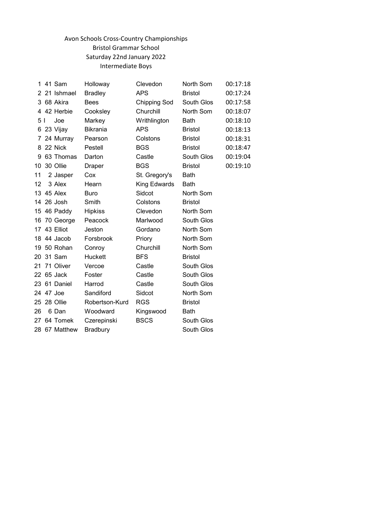# Avon Schools Cross-Country Championships Bristol Grammar School Saturday 22nd January 2022 Intermediate Boys

| 1   | 41 Sam        | Holloway        | Clevedon      | North Som      | 00:17:18 |
|-----|---------------|-----------------|---------------|----------------|----------|
|     | 2 21 Ishmael  | <b>Bradley</b>  | <b>APS</b>    | <b>Bristol</b> | 00:17:24 |
|     | 3 68 Akira    | <b>Bees</b>     | Chipping Sod  | South Glos     | 00:17:58 |
|     | 4 42 Herbie   | Cooksley        | Churchill     | North Som      | 00:18:07 |
| 5 I | Joe           | Markey          | Writhlington  | Bath           | 00:18:10 |
| 6   | 23 Vijay      | <b>Bikrania</b> | <b>APS</b>    | <b>Bristol</b> | 00:18:13 |
|     | 7 24 Murray   | Pearson         | Colstons      | <b>Bristol</b> | 00:18:31 |
|     | 8 22 Nick     | Pestell         | <b>BGS</b>    | <b>Bristol</b> | 00:18:47 |
| 9   | 63 Thomas     | Darton          | Castle        | South Glos     | 00:19:04 |
| 10  | 30 Ollie      | Draper          | <b>BGS</b>    | <b>Bristol</b> | 00:19:10 |
| 11  | 2 Jasper      | Cox             | St. Gregory's | Bath           |          |
| 12  | 3 Alex        | Hearn           | King Edwards  | <b>Bath</b>    |          |
|     | 13 45 Alex    | <b>Buro</b>     | Sidcot        | North Som      |          |
|     | 14 26 Josh    | Smith           | Colstons      | <b>Bristol</b> |          |
|     | 15 46 Paddy   | <b>Hipkiss</b>  | Clevedon      | North Som      |          |
|     | 16 70 George  | Peacock         | Marlwood      | South Glos     |          |
|     | 17 43 Elliot  | Jeston          | Gordano       | North Som      |          |
|     | 18 44 Jacob   | Forsbrook       | Priory        | North Som      |          |
| 19  | 50 Rohan      | Conroy          | Churchill     | North Som      |          |
|     | 20 31 Sam     | Huckett         | <b>BFS</b>    | <b>Bristol</b> |          |
| 21  | 71 Oliver     | Vercoe          | Castle        | South Glos     |          |
|     | 22 65 Jack    | Foster          | Castle        | South Glos     |          |
|     | 23 61 Daniel  | Harrod          | Castle        | South Glos     |          |
|     | 24 47 Joe     | Sandiford       | Sidcot        | North Som      |          |
|     | 25 28 Ollie   | Robertson-Kurd  | <b>RGS</b>    | <b>Bristol</b> |          |
| 26  | 6 Dan         | Woodward        | Kingswood     | <b>Bath</b>    |          |
|     | 27 64 Tomek   | Czerepinski     | <b>BSCS</b>   | South Glos     |          |
|     | 28 67 Matthew | <b>Bradbury</b> |               | South Glos     |          |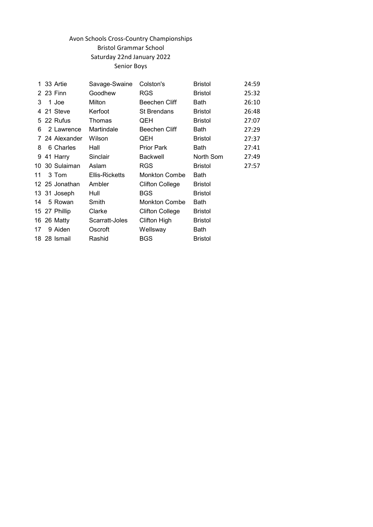# Avon Schools Cross-Country Championships Bristol Grammar School Saturday 22nd January 2022 Senior Boys

| 1. | 33 Artie       | Savage-Swaine  | Colston's              | <b>Bristol</b> | 24:59 |
|----|----------------|----------------|------------------------|----------------|-------|
|    | 2 23 Finn      | Goodhew        | <b>RGS</b>             | <b>Bristol</b> | 25:32 |
| 3  | 1 Joe          | Milton         | <b>Beechen Cliff</b>   | Bath           | 26:10 |
| 4  | 21 Steve       | Kerfoot        | <b>St Brendans</b>     | <b>Bristol</b> | 26:48 |
|    | 5 22 Rufus     | Thomas         | QEH                    | <b>Bristol</b> | 27:07 |
| 6  | 2 Lawrence     | Martindale     | Beechen Cliff          | Bath           | 27:29 |
|    | 7 24 Alexander | Wilson         | QEH                    | <b>Bristol</b> | 27:37 |
| 8  | 6 Charles      | Hall           | <b>Prior Park</b>      | Bath           | 27:41 |
| 9  | 41 Harry       | Sinclair       | <b>Backwell</b>        | North Som      | 27:49 |
|    | 10 30 Sulaiman | Aslam          | <b>RGS</b>             | <b>Bristol</b> | 27:57 |
| 11 | 3 Tom          | Ellis-Ricketts | <b>Monkton Combe</b>   | <b>Bath</b>    |       |
|    | 12 25 Jonathan | Ambler         | <b>Clifton College</b> | <b>Bristol</b> |       |
|    | 13 31 Joseph   | Hull           | <b>BGS</b>             | <b>Bristol</b> |       |
| 14 | 5 Rowan        | Smith          | <b>Monkton Combe</b>   | Bath           |       |
|    | 15 27 Phillip  | Clarke         | <b>Clifton College</b> | <b>Bristol</b> |       |
|    | 16 26 Matty    | Scarratt-Joles | Clifton High           | <b>Bristol</b> |       |
| 17 | 9 Aiden        | Oscroft        | Wellsway               | Bath           |       |
|    | 18 28 Ismail   | Rashid         | BGS                    | <b>Bristol</b> |       |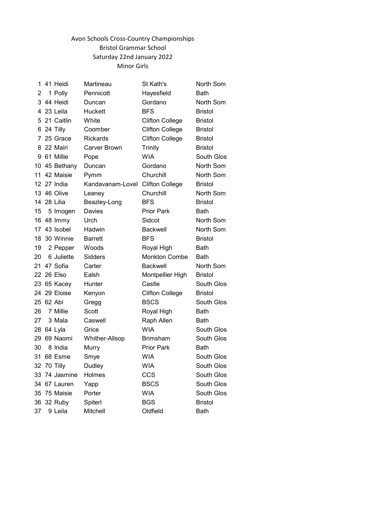### Avon Schools Cross-Country Championships Bristol Grammar School Saturday 22nd January 2022 Minor Girls

| 1  | 41 Heidi      | Martineau                        | St Kath's              | North Som      |
|----|---------------|----------------------------------|------------------------|----------------|
| 2  | 1 Polly       | Pennicott                        | Hayesfield             | <b>Bath</b>    |
|    | 3 44 Heidi    | Duncan                           | Gordano                | North Som      |
|    | 4 23 Leila    | Huckett                          | <b>BFS</b>             | <b>Bristol</b> |
|    | 5 21 Caitlin  | White                            | <b>Clifton College</b> | <b>Bristol</b> |
|    | 6 24 Tilly    | Coomber                          | <b>Clifton College</b> | <b>Bristol</b> |
|    | 7 25 Grace    | Rickards                         | <b>Clifton College</b> | <b>Bristol</b> |
|    | 8 22 Mairi    | <b>Carver Brown</b>              | <b>Trinity</b>         | <b>Bristol</b> |
|    | 9 61 Millie   | Pope                             | <b>WIA</b>             | South Glos     |
|    | 10 45 Bethany | Duncan                           | Gordano                | North Som      |
|    | 11 42 Maisie  | Pymm                             | Churchill              | North Som      |
|    | 12 27 India   | Kandavanam-Lovel Clifton College |                        | <b>Bristol</b> |
|    | 13 46 Olive   | Leaney                           | Churchill              | North Som      |
|    | 14 28 Lilia   | Beazley-Long                     | <b>BFS</b>             | <b>Bristol</b> |
| 15 | 5 Imogen      | Davies                           | <b>Prior Park</b>      | Bath           |
|    | 16 48 Immy    | Urch                             | Sidcot                 | North Som      |
|    | 17 43 Isobel  | Hadwin                           | <b>Backwell</b>        | North Som      |
|    | 18 30 Winnie  | <b>Barrett</b>                   | <b>BFS</b>             | <b>Bristol</b> |
| 19 | 2 Pepper      | Woods                            | Royal High             | <b>Bath</b>    |
| 20 | 6 Juliette    | Sidders                          | <b>Monkton Combe</b>   | <b>Bath</b>    |
|    | 21 47 Sofia   | Carter                           | <b>Backwell</b>        | North Som      |
|    | 22 26 Elso    | Ealsh                            | Montpellier High       | <b>Bristol</b> |
|    | 23 65 Kacey   | Hunter                           | Castle                 | South Glos     |
|    | 24 29 Eloise  | Kenyon                           | <b>Clifton College</b> | <b>Bristol</b> |
| 25 | 62 Abi        | Gregg                            | <b>BSCS</b>            | South Glos     |
| 26 | 7 Millie      | Scott                            | Royal High             | <b>Bath</b>    |
| 27 | 3 Mala        | Caswell                          | Raph Allen             | Bath           |
| 28 | 64 Lyla       | Grice                            | <b>WIA</b>             | South Glos     |
| 29 | 69 Naomi      | Whither-Allsop                   | <b>Brimsham</b>        | South Glos     |
| 30 | 8 India       | Murry                            | <b>Prior Park</b>      | <b>Bath</b>    |
| 31 | 68 Esme       | Smye                             | <b>WIA</b>             | South Glos     |
|    | 32 70 Tilly   | Dudley                           | <b>WIA</b>             | South Glos     |
|    | 33 74 Jasmine | Holmes                           | <b>CCS</b>             | South Glos     |
|    | 34 67 Lauren  | Yapp                             | <b>BSCS</b>            | South Glos     |
| 35 | 75 Maisie     | Porter                           | <b>WIA</b>             | South Glos     |
| 36 | 32 Ruby       | Spiterl                          | <b>BGS</b>             | <b>Bristol</b> |
| 37 | 9 Leila       | Mitchell                         | Oldfield               | <b>Bath</b>    |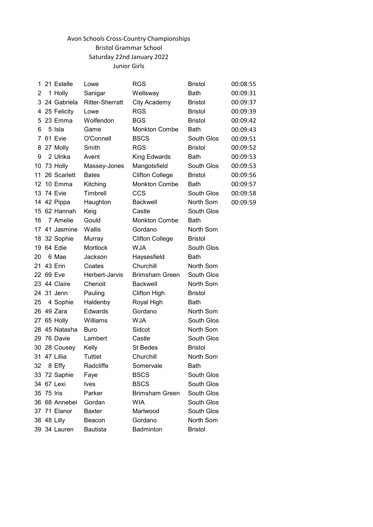# Avon Schools Cross-Country Championships Bristol Grammar School Saturday 22nd January 2022 Junior Girls

| 1   |             | 21 Estelle    | Lowe                   | <b>RGS</b>             | <b>Bristol</b> | 00:08:55 |
|-----|-------------|---------------|------------------------|------------------------|----------------|----------|
| 2   |             | 1 Holly       | Sanigar                | Wellsway               | <b>Bath</b>    | 00:09:31 |
| 3   |             | 24 Gabriela   | <b>Ritter-Sherratt</b> | <b>City Academy</b>    | <b>Bristol</b> | 00:09:37 |
|     |             | 4 25 Felicity | Lowe                   | <b>RGS</b>             | <b>Bristol</b> | 00:09:39 |
| 5   |             | 23 Emma       | Wolfendon              | <b>BGS</b>             | <b>Bristol</b> | 00:09:42 |
| 6   |             | 5 Isla        | Game                   | <b>Monkton Combe</b>   | <b>Bath</b>    | 00:09:43 |
| 7   |             | 61 Evie       | O'Connell              | <b>BSCS</b>            | South Glos     | 00:09:51 |
| 8   |             | 27 Molly      | Smith                  | <b>RGS</b>             | <b>Bristol</b> | 00:09:52 |
| 9   |             | 2 Ulrika      | Avent                  | King Edwards           | Bath           | 00:09:53 |
| 10  |             | 73 Holly      | Massey-Jones           | Mangotsfield           | South Glos     | 00:09:53 |
| 11  |             | 26 Scarlett   | <b>Bates</b>           | <b>Clifton College</b> | <b>Bristol</b> | 00:09:56 |
| 12  |             | 10 Emma       | Kitching               | <b>Monkton Combe</b>   | <b>Bath</b>    | 00:09:57 |
|     |             | 13 74 Evie    | Timbrell               | CCS                    | South Glos     | 00:09:58 |
|     |             | 14 42 Pippa   | Haughton               | <b>Backwell</b>        | North Som      | 00:09:59 |
|     |             | 15 62 Hannah  | Keig                   | Castle                 | South Glos     |          |
| 16  |             | 7 Amelie      | Gould                  | <b>Monkton Combe</b>   | <b>Bath</b>    |          |
|     |             | 17 41 Jasmine | Wallis                 | Gordano                | North Som      |          |
|     |             | 18 32 Sophie  | Murray                 | <b>Clifton College</b> | <b>Bristol</b> |          |
| 19  |             | 64 Edie       | Mortlock               | <b>WJA</b>             | South Glos     |          |
| 20  |             | 6 Mae         | Jackson                | Haysesfield            | <b>Bath</b>    |          |
| 21. |             | 43 Erin       | Coates                 | Churchill              | North Som      |          |
|     | 22 69 Eve   |               | Herbert-Jarvis         | <b>Brimsham Green</b>  | South Glos     |          |
|     |             | 23 44 Claire  | Chenoit                | <b>Backwell</b>        | North Som      |          |
|     |             | 24 31 Jenn    | Pauling                | Clifton High           | <b>Bristol</b> |          |
| 25  |             | 4 Sophie      | Haldenby               | Royal High             | Bath           |          |
|     |             | 26 49 Zara    | <b>Edwards</b>         | Gordano                | North Som      |          |
| 27  |             | 65 Holly      | Williams               | <b>WJA</b>             | South Glos     |          |
|     |             | 28 45 Natasha | <b>Buro</b>            | Sidcot                 | North Som      |          |
| 29  |             | 76 Davie      | Lambert                | Castle                 | South Glos     |          |
|     |             | 30 28 Cousey  | Kelly                  | <b>St Bedes</b>        | <b>Bristol</b> |          |
|     |             | 31 47 Lillia  | Tuttiet                | Churchill              | North Som      |          |
| 32  |             | 8 Effy        | Radcliffe              | Somervale              | <b>Bath</b>    |          |
|     |             | 33 72 Saphie  | Faye                   | <b>BSCS</b>            | South Glos     |          |
|     |             | 34 67 Lexi    | <b>Ives</b>            | <b>BSCS</b>            | South Glos     |          |
|     | 35 75 Iris  |               | Parker                 | <b>Brimsham Green</b>  | South Glos     |          |
|     |             | 36 68 Annebel | Gordan                 | <b>WIA</b>             | South Glos     |          |
|     |             | 37 71 Elanor  | <b>Baxter</b>          | Marlwood               | South Glos     |          |
|     | 38 48 Lilly |               | Beacon                 | Gordano                | North Som      |          |
|     |             | 39 34 Lauren  | <b>Bautista</b>        | Badminton              | <b>Bristol</b> |          |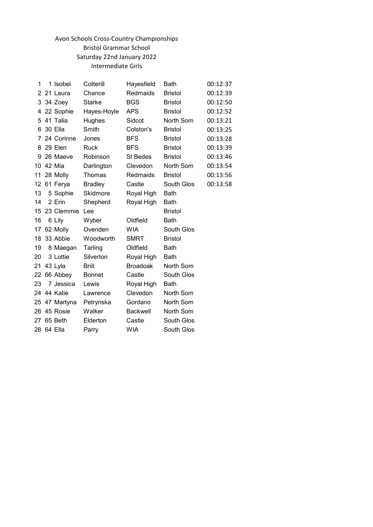# Avon Schools Cross-Country Championships Bristol Grammar School Saturday 22nd January 2022 Intermediate Girls

| 1  | 1 Isobel      | Cotterill      | Hayesfield      | Bath           | 00:12:37 |
|----|---------------|----------------|-----------------|----------------|----------|
| 2  | 21 Laura      | Chance         | Redmaids        | <b>Bristol</b> | 00:12:39 |
|    | 3 34 Zoey     | <b>Starke</b>  | <b>BGS</b>      | <b>Bristol</b> | 00:12:50 |
|    | 4 22 Sophie   | Hayes-Hoyle    | <b>APS</b>      | <b>Bristol</b> | 00:12:52 |
|    | 5 41 Talia    | Hughes         | Sidcot          | North Som      | 00:13:21 |
| 6  | 30 Ella       | Smith          | Colston's       | <b>Bristol</b> | 00:13:25 |
|    | 7 24 Corinne  | Jones          | <b>BFS</b>      | <b>Bristol</b> | 00:13:28 |
|    | 8 29 Elen     | Ruck           | <b>BFS</b>      | <b>Bristol</b> | 00:13:39 |
| 9  | 26 Maeve      | Robinson       | <b>St Bedes</b> | <b>Bristol</b> | 00:13:46 |
|    | 10 42 Mia     | Darlington     | Clevedon        | North Som      | 00:13:54 |
| 11 | 28 Molly      | <b>Thomas</b>  | Redmaids        | <b>Bristol</b> | 00:13:56 |
| 12 | 61 Ferya      | <b>Bradley</b> | Castle          | South Glos     | 00:13:58 |
| 13 | 5 Sophie      | Skidmore       | Royal High      | <b>Bath</b>    |          |
| 14 | 2 Erin        | Shepherd       | Royal High      | <b>Bath</b>    |          |
|    | 23 Clemmie    | Lee            |                 | <b>Bristol</b> |          |
| 15 |               |                |                 |                |          |
| 16 | 6 Lily        | Wyber          | Oldfield        | Bath           |          |
| 17 | 62 Molly      | Ovenden        | <b>WIA</b>      | South Glos     |          |
| 18 | 33 Abbie      | Woodworth      | <b>SMRT</b>     | <b>Bristol</b> |          |
| 19 | 8 Maegan      | Tarling        | Oldfield        | <b>Bath</b>    |          |
| 20 | 3 Lottie      | Silverton      | Royal High      | <b>Bath</b>    |          |
| 21 | 43 Lyla       | <b>Briit</b>   | <b>Broadoak</b> | North Som      |          |
| 22 | 66 Abbey      | <b>Bonnet</b>  | Castle          | South Glos     |          |
| 23 | 7 Jessica     | Lewis          | Royal High      | <b>Bath</b>    |          |
|    | 24 44 Katie   | Lawrence       | Clevedon        | North Som      |          |
|    | 25 47 Martyna | Petrynska      | Gordano         | North Som      |          |
|    | 26 45 Rosie   | Walker         | <b>Backwell</b> | North Som      |          |
|    | 27 65 Beth    | Elderton       | Castle          | South Glos     |          |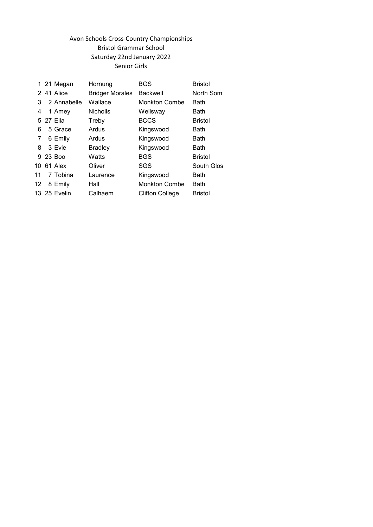# Avon Schools Cross-Country Championships Bristol Grammar School Saturday 22nd January 2022 Senior Girls

|    | 1 21 Megan   | Hornung                | BGS                    | <b>Bristol</b> |
|----|--------------|------------------------|------------------------|----------------|
|    | 2 41 Alice   | <b>Bridger Morales</b> | <b>Backwell</b>        | North Som      |
| 3  | 2 Annabelle  | Wallace                | Monkton Combe          | <b>Bath</b>    |
| 4  | 1 Amey       | <b>Nicholls</b>        | Wellsway               | Bath           |
|    | 5 27 Ella    | Treby                  | <b>BCCS</b>            | <b>Bristol</b> |
| 6  | 5 Grace      | Ardus                  | Kingswood              | Bath           |
| 7  | 6 Emily      | Ardus                  | Kingswood              | Bath           |
| 8  | 3 Evie       | <b>Bradley</b>         | Kingswood              | <b>Bath</b>    |
|    | 9 23 Boo     | Watts                  | <b>BGS</b>             | <b>Bristol</b> |
| 10 | 61 Alex      | Oliver                 | SGS                    | South Glos     |
| 11 | 7 Tobina     | Laurence               | Kingswood              | Bath           |
| 12 | 8 Emily      | Hall                   | <b>Monkton Combe</b>   | <b>Bath</b>    |
|    | 13 25 Evelin | Calhaem                | <b>Clifton College</b> | <b>Bristol</b> |